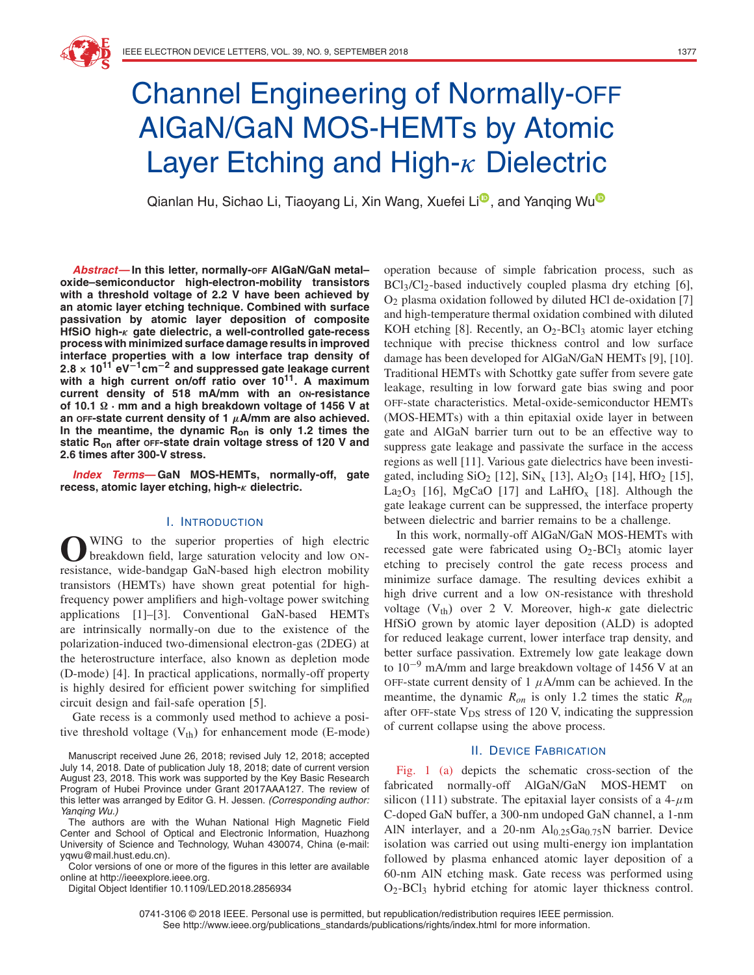# Channel Engineering of Normally-OFF AlGaN/GaN MOS-HEMTs by Atomic Layer Etching and High- $\kappa$  Dielectric

Q[i](https://orcid.org/0000-0001-6406-6461)anlan H[u](https://orcid.org/0000-0003-2578-5214), Sichao Li, Tiaoyang Li, Xin Wang, Xuefei Li<sup>n</sup>, and Yanqing Wu<sup>n</sup>

**Abstract—In this letter, normally-OFF AlGaN/GaN metal– oxide–semiconductor high-electron-mobility transistors with a threshold voltage of 2.2 V have been achieved by an atomic layer etching technique. Combined with surface passivation by atomic layer deposition of composite HfSiO high-***κ* **gate dielectric, a well-controlled gate-recess process with minimized surface damage results in improved interface properties with a low interface trap density of <sup>2</sup>***.***<sup>8</sup> <sup>×</sup> <sup>10</sup><sup>11</sup> eV−1cm−<sup>2</sup> and suppressed gate leakage current with a high current on/off ratio over 1011. A maximum current density of 518 mA/mm with an ON-resistance of 10.1 · mm and a high breakdown voltage of 1456 V at an OFF-state current density of 1** *μ***A/mm are also achieved. In the meantime, the dynamic Ron is only 1.2 times the static Ron after OFF-state drain voltage stress of 120 V and 2.6 times after 300-V stress.**

**Index Terms—GaN MOS-HEMTs, normally-off, gate recess, atomic layer etching, high-***κ* **dielectric.**

#### I. INTRODUCTION

**O**WING to the superior properties of high electric<br>breakdown field, large saturation velocity and low ONresistance, wide-bandgap GaN-based high electron mobility transistors (HEMTs) have shown great potential for highfrequency power amplifiers and high-voltage power switching applications [1]–[3]. Conventional GaN-based HEMTs are intrinsically normally-on due to the existence of the polarization-induced two-dimensional electron-gas (2DEG) at the heterostructure interface, also known as depletion mode (D-mode) [4]. In practical applications, normally-off property is highly desired for efficient power switching for simplified circuit design and fail-safe operation [5].

Gate recess is a commonly used method to achieve a positive threshold voltage  $(V<sub>th</sub>)$  for enhancement mode (E-mode)

Manuscript received June 26, 2018; revised July 12, 2018; accepted July 14, 2018. Date of publication July 18, 2018; date of current version August 23, 2018. This work was supported by the Key Basic Research Program of Hubei Province under Grant 2017AAA127. The review of this letter was arranged by Editor G. H. Jessen. (Corresponding author: Yanging Wu.)

The authors are with the Wuhan National High Magnetic Field Center and School of Optical and Electronic Information, Huazhong University of Science and Technology, Wuhan 430074, China (e-mail: yqwu@mail.hust.edu.cn).

Color versions of one or more of the figures in this letter are available online at http://ieeexplore.ieee.org.

Digital Object Identifier 10.1109/LED.2018.2856934

operation because of simple fabrication process, such as  $BCl<sub>3</sub>/Cl<sub>2</sub>$ -based inductively coupled plasma dry etching [6], O2 plasma oxidation followed by diluted HCl de-oxidation [7] and high-temperature thermal oxidation combined with diluted KOH etching [8]. Recently, an  $O_2$ -BCl<sub>3</sub> atomic layer etching technique with precise thickness control and low surface damage has been developed for AlGaN/GaN HEMTs [9], [10]. Traditional HEMTs with Schottky gate suffer from severe gate leakage, resulting in low forward gate bias swing and poor OFF-state characteristics. Metal-oxide-semiconductor HEMTs (MOS-HEMTs) with a thin epitaxial oxide layer in between gate and AlGaN barrier turn out to be an effective way to suppress gate leakage and passivate the surface in the access regions as well [11]. Various gate dielectrics have been investigated, including  $SiO_2$  [12],  $SiN_x$  [13],  $Al_2O_3$  [14],  $HfO_2$  [15], La<sub>2</sub>O<sub>3</sub> [16], MgCaO [17] and LaHfO<sub>x</sub> [18]. Although the gate leakage current can be suppressed, the interface property between dielectric and barrier remains to be a challenge.

In this work, normally-off AlGaN/GaN MOS-HEMTs with recessed gate were fabricated using O2-BCl3 atomic layer etching to precisely control the gate recess process and minimize surface damage. The resulting devices exhibit a high drive current and a low ON-resistance with threshold voltage (Vth) over 2 V. Moreover, high- $\kappa$  gate dielectric HfSiO grown by atomic layer deposition (ALD) is adopted for reduced leakage current, lower interface trap density, and better surface passivation. Extremely low gate leakage down to  $10^{-9}$  mA/mm and large breakdown voltage of 1456 V at an OFF-state current density of 1  $\mu$ A/mm can be achieved. In the meantime, the dynamic *Ron* is only 1.2 times the static *Ron* after OFF-state  $V_{DS}$  stress of 120 V, indicating the suppression of current collapse using the above process.

# II. DEVICE FABRICATION

Fig. 1 (a) depicts the schematic cross-section of the fabricated normally-off AlGaN/GaN MOS-HEMT on silicon (111) substrate. The epitaxial layer consists of a  $4-\mu$ m C-doped GaN buffer, a 300-nm undoped GaN channel, a 1-nm AlN interlayer, and a 20-nm  $\text{Al}_{0.25}\text{Ga}_{0.75}\text{N}$  barrier. Device isolation was carried out using multi-energy ion implantation followed by plasma enhanced atomic layer deposition of a 60-nm AlN etching mask. Gate recess was performed using O2-BCl3 hybrid etching for atomic layer thickness control.

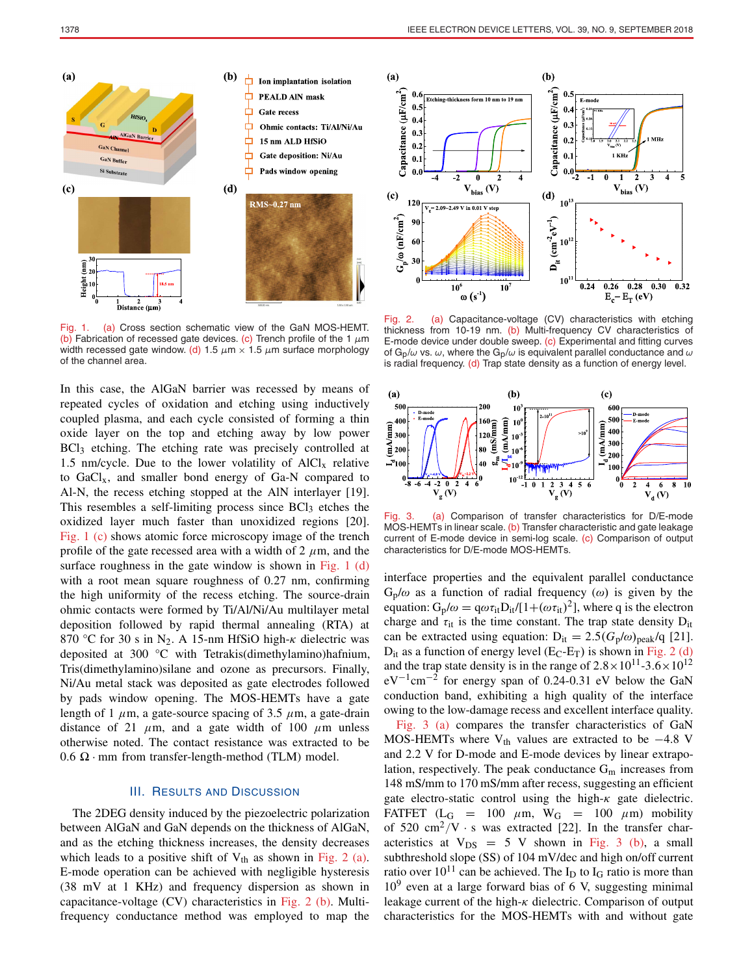

Fig. 1. (a) Cross section schematic view of the GaN MOS-HEMT. (b) Fabrication of recessed gate devices. (c) Trench profile of the 1  $\mu$ m width recessed gate window. (d) 1.5  $\mu$ m × 1.5  $\mu$ m surface morphology of the channel area.

In this case, the AlGaN barrier was recessed by means of repeated cycles of oxidation and etching using inductively coupled plasma, and each cycle consisted of forming a thin oxide layer on the top and etching away by low power BCl<sub>3</sub> etching. The etching rate was precisely controlled at 1.5 nm/cycle. Due to the lower volatility of  $AICI<sub>x</sub>$  relative to  $GaCl<sub>x</sub>$ , and smaller bond energy of  $Ga-N$  compared to Al-N, the recess etching stopped at the AlN interlayer [19]. This resembles a self-limiting process since  $BCl<sub>3</sub>$  etches the oxidized layer much faster than unoxidized regions [20]. Fig. 1 (c) shows atomic force microscopy image of the trench profile of the gate recessed area with a width of 2  $\mu$ m, and the surface roughness in the gate window is shown in Fig. 1  $(d)$ with a root mean square roughness of 0.27 nm, confirming the high uniformity of the recess etching. The source-drain ohmic contacts were formed by Ti/Al/Ni/Au multilayer metal deposition followed by rapid thermal annealing (RTA) at 870 °C for 30 s in N<sub>2</sub>. A 15-nm HfSiO high- $\kappa$  dielectric was deposited at 300 °C with Tetrakis(dimethylamino)hafnium, Tris(dimethylamino)silane and ozone as precursors. Finally, Ni/Au metal stack was deposited as gate electrodes followed by pads window opening. The MOS-HEMTs have a gate length of 1  $\mu$ m, a gate-source spacing of 3.5  $\mu$ m, a gate-drain distance of 21  $\mu$ m, and a gate width of 100  $\mu$ m unless otherwise noted. The contact resistance was extracted to be  $0.6 \Omega \cdot$  mm from transfer-length-method (TLM) model.

# III. RESULTS AND DISCUSSION

The 2DEG density induced by the piezoelectric polarization between AlGaN and GaN depends on the thickness of AlGaN, and as the etching thickness increases, the density decreases which leads to a positive shift of  $V_{th}$  as shown in Fig. 2 (a). E-mode operation can be achieved with negligible hysteresis (38 mV at 1 KHz) and frequency dispersion as shown in capacitance-voltage (CV) characteristics in Fig. 2 (b). Multifrequency conductance method was employed to map the



Fig. 2. (a) Capacitance-voltage (CV) characteristics with etching thickness from 10-19 nm. (b) Multi-frequency CV characteristics of E-mode device under double sweep. (c) Experimental and fitting curves of G<sub>p</sub>/ $\omega$  vs.  $\omega$ , where the G<sub>p</sub>/ $\omega$  is equivalent parallel conductance and  $\omega$ is radial frequency. (d) Trap state density as a function of energy level.



Fig. 3. (a) Comparison of transfer characteristics for D/E-mode MOS-HEMTs in linear scale. (b) Transfer characteristic and gate leakage current of E-mode device in semi-log scale. (c) Comparison of output characteristics for D/E-mode MOS-HEMTs.

interface properties and the equivalent parallel conductance  $G_p/\omega$  as a function of radial frequency  $(\omega)$  is given by the equation:  $G_p/\omega = q\omega \tau_{it}D_{it}/[1+(\omega \tau_{it})^2]$ , where q is the electron charge and  $\tau_{it}$  is the time constant. The trap state density  $D_{it}$ can be extracted using equation:  $D_{it} = 2.5(G_p/\omega)_{peak}/q$  [21].  $D_{it}$  as a function of energy level (E<sub>C</sub>-E<sub>T</sub>) is shown in Fig. 2 (d) and the trap state density is in the range of  $2.8 \times 10^{11}$ -3.6  $\times 10^{12}$  $eV^{-1}$ cm<sup>-2</sup> for energy span of 0.24-0.31 eV below the GaN conduction band, exhibiting a high quality of the interface owing to the low-damage recess and excellent interface quality.

Fig. 3 (a) compares the transfer characteristics of GaN MOS-HEMTs where  $V_{th}$  values are extracted to be  $-4.8$  V and 2.2 V for D-mode and E-mode devices by linear extrapolation, respectively. The peak conductance  $G<sub>m</sub>$  increases from 148 mS/mm to 170 mS/mm after recess, suggesting an efficient gate electro-static control using the high- $\kappa$  gate dielectric. FATFET ( $L_G$  = 100  $\mu$ m, W<sub>G</sub> = 100  $\mu$ m) mobility of 520 cm<sup>2</sup>/V  $\cdot$  s was extracted [22]. In the transfer characteristics at  $V_{DS}$  = 5 V shown in Fig. 3 (b), a small subthreshold slope (SS) of 104 mV/dec and high on/off current ratio over  $10^{11}$  can be achieved. The I<sub>D</sub> to I<sub>G</sub> ratio is more than  $10<sup>9</sup>$  even at a large forward bias of 6 V, suggesting minimal leakage current of the high- $\kappa$  dielectric. Comparison of output characteristics for the MOS-HEMTs with and without gate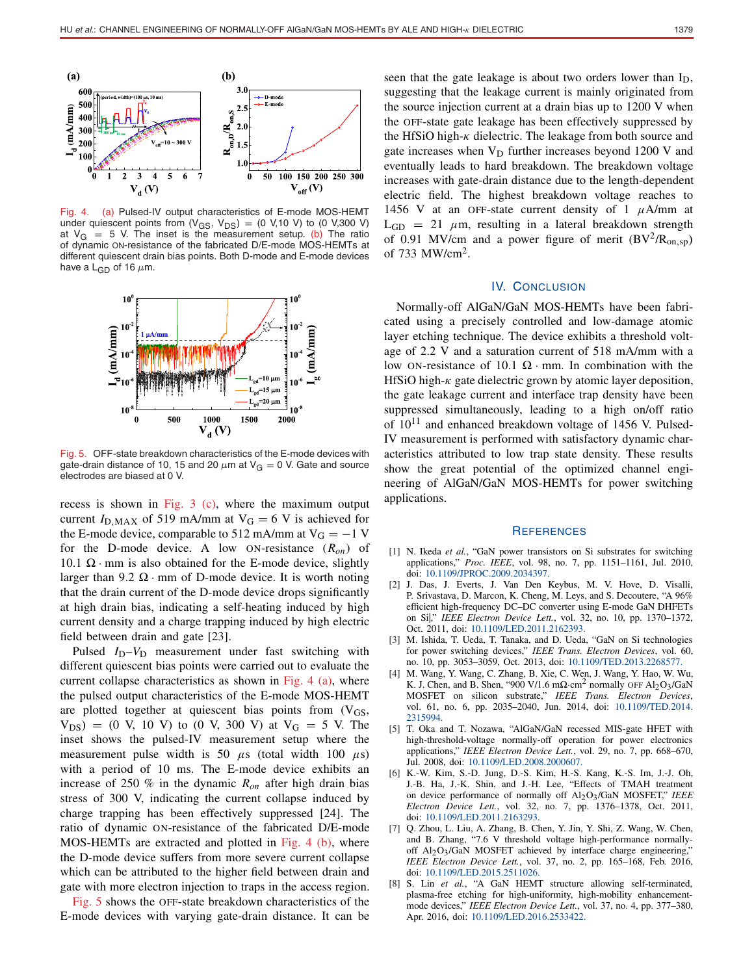

Fig. 4. (a) Pulsed-IV output characteristics of E-mode MOS-HEMT under quiescent points from  $(V_{GS}, V_{DS}) = (0 V, 10 V)$  to  $(0 V, 300 V)$ at  $V_G = 5$  V. The inset is the measurement setup. (b) The ratio of dynamic ON-resistance of the fabricated D/E-mode MOS-HEMTs at different quiescent drain bias points. Both D-mode and E-mode devices have a  $L_{GD}$  of 16  $\mu$ m.



Fig. 5. OFF-state breakdown characteristics of the E-mode devices with gate-drain distance of 10, 15 and 20  $\mu$ m at V<sub>G</sub> = 0 V. Gate and source electrodes are biased at 0 V.

recess is shown in Fig. 3 (c), where the maximum output current  $I_{\text{D,MAX}}$  of 519 mA/mm at  $V_{\text{G}} = 6$  V is achieved for the E-mode device, comparable to 512 mA/mm at  $V_G = -1$  V for the D-mode device. A low ON-resistance (*Ron*) of 10.1  $\Omega$  · mm is also obtained for the E-mode device, slightly larger than 9.2  $\Omega$  · mm of D-mode device. It is worth noting that the drain current of the D-mode device drops significantly at high drain bias, indicating a self-heating induced by high current density and a charge trapping induced by high electric field between drain and gate [23].

Pulsed *I*<sub>D</sub>–*V*<sub>D</sub> measurement under fast switching with different quiescent bias points were carried out to evaluate the current collapse characteristics as shown in Fig. 4 (a), where the pulsed output characteristics of the E-mode MOS-HEMT are plotted together at quiescent bias points from  $(V_{GS},$  $V_{DS}$  = (0 V, 10 V) to (0 V, 300 V) at  $V_G$  = 5 V. The inset shows the pulsed-IV measurement setup where the measurement pulse width is 50  $\mu$ s (total width 100  $\mu$ s) with a period of 10 ms. The E-mode device exhibits an increase of 250 % in the dynamic *Ron* after high drain bias stress of 300 V, indicating the current collapse induced by charge trapping has been effectively suppressed [24]. The ratio of dynamic ON-resistance of the fabricated D/E-mode MOS-HEMTs are extracted and plotted in Fig. 4 (b), where the D-mode device suffers from more severe current collapse which can be attributed to the higher field between drain and gate with more electron injection to traps in the access region.

Fig. 5 shows the OFF-state breakdown characteristics of the E-mode devices with varying gate-drain distance. It can be

seen that the gate leakage is about two orders lower than  $I_D$ , suggesting that the leakage current is mainly originated from the source injection current at a drain bias up to 1200 V when the OFF-state gate leakage has been effectively suppressed by the HfSiO high- $\kappa$  dielectric. The leakage from both source and gate increases when  $V_D$  further increases beyond 1200 V and eventually leads to hard breakdown. The breakdown voltage increases with gate-drain distance due to the length-dependent electric field. The highest breakdown voltage reaches to 1456 V at an OFF-state current density of 1  $\mu$ A/mm at  $L_{GD}$  = 21  $\mu$ m, resulting in a lateral breakdown strength of 0.91 MV/cm and a power figure of merit  $(BV^2/R_{on,sp})$ of 733 MW/cm2.

# IV. CONCLUSION

Normally-off AlGaN/GaN MOS-HEMTs have been fabricated using a precisely controlled and low-damage atomic layer etching technique. The device exhibits a threshold voltage of 2.2 V and a saturation current of 518 mA/mm with a low ON-resistance of 10.1  $\Omega$  · mm. In combination with the HfSiO high- $\kappa$  gate dielectric grown by atomic layer deposition, the gate leakage current and interface trap density have been suppressed simultaneously, leading to a high on/off ratio of  $10^{11}$  and enhanced breakdown voltage of 1456 V. Pulsed-IV measurement is performed with satisfactory dynamic characteristics attributed to low trap state density. These results show the great potential of the optimized channel engineering of AlGaN/GaN MOS-HEMTs for power switching applications.

### **REFERENCES**

- [1] N. Ikeda *et al.*, "GaN power transistors on Si substrates for switching applications," *Proc. IEEE*, vol. 98, no. 7, pp. 1151–1161, Jul. 2010, doi: [10.1109/JPROC.2009.2034397.](http://dx.doi.org/10.1109/JPROC.2009.2034397)
- [2] J. Das, J. Everts, J. Van Den Keybus, M. V. Hove, D. Visalli, P. Srivastava, D. Marcon, K. Cheng, M. Leys, and S. Decoutere, "A 96% efficient high-frequency DC–DC converter using E-mode GaN DHFETs on Si|," *IEEE Electron Device Lett.*, vol. 32, no. 10, pp. 1370–1372, Oct. 2011, doi: [10.1109/LED.2011.2162393.](http://dx.doi.org/10.1109/LED.2011.2162393)
- [3] M. Ishida, T. Ueda, T. Tanaka, and D. Ueda, "GaN on Si technologies for power switching devices," *IEEE Trans. Electron Devices*, vol. 60, no. 10, pp. 3053–3059, Oct. 2013, doi: [10.1109/TED.2013.2268577.](http://dx.doi.org/10.1109/TED.2013.2268577)
- [4] M. Wang, Y. Wang, C. Zhang, B. Xie, C. Wen, J. Wang, Y. Hao, W. Wu, K. J. Chen, and B. Shen, "900 V/1.6 m $\Omega$ ·cm<sup>2</sup> normally OFF Al<sub>2</sub>O<sub>3</sub>/GaN MOSFET on silicon substrate," *IEEE Trans. Electron Devices*, vol. 61, no. 6, pp. 2035–2040, Jun. 2014, doi: [10.1109/TED.2014.](http://dx.doi.org/10.1109/TED.2014.2315994) [2315994.](http://dx.doi.org/10.1109/TED.2014.2315994)
- [5] T. Oka and T. Nozawa, "AlGaN/GaN recessed MIS-gate HFET with high-threshold-voltage normally-off operation for power electronics applications," *IEEE Electron Device Lett.*, vol. 29, no. 7, pp. 668–670, Jul. 2008, doi: [10.1109/LED.2008.2000607.](http://dx.doi.org/10.1109/LED.2008.2000607)
- [6] K.-W. Kim, S.-D. Jung, D.-S. Kim, H.-S. Kang, K.-S. Im, J.-J. Oh, J.-B. Ha, J.-K. Shin, and J.-H. Lee, "Effects of TMAH treatment on device performance of normally off Al2O3/GaN MOSFET," *IEEE Electron Device Lett.*, vol. 32, no. 7, pp. 1376–1378, Oct. 2011, doi: [10.1109/LED.2011.2163293.](http://dx.doi.org/10.1109/LED.2011.2163293)
- [7] Q. Zhou, L. Liu, A. Zhang, B. Chen, Y. Jin, Y. Shi, Z. Wang, W. Chen, and B. Zhang, "7.6 V threshold voltage high-performance normallyoff Al<sub>2</sub>O<sub>3</sub>/GaN MOSFET achieved by interface charge engineering, *IEEE Electron Device Lett.*, vol. 37, no. 2, pp. 165–168, Feb. 2016, doi: [10.1109/LED.2015.2511026.](http://dx.doi.org/10.1109/LED.2015.2511026)
- [8] S. Lin *et al.*, "A GaN HEMT structure allowing self-terminated, plasma-free etching for high-uniformity, high-mobility enhancementmode devices," *IEEE Electron Device Lett.*, vol. 37, no. 4, pp. 377–380, Apr. 2016, doi: [10.1109/LED.2016.2533422](http://dx.doi.org/10.1109/LED.2016.2533422).